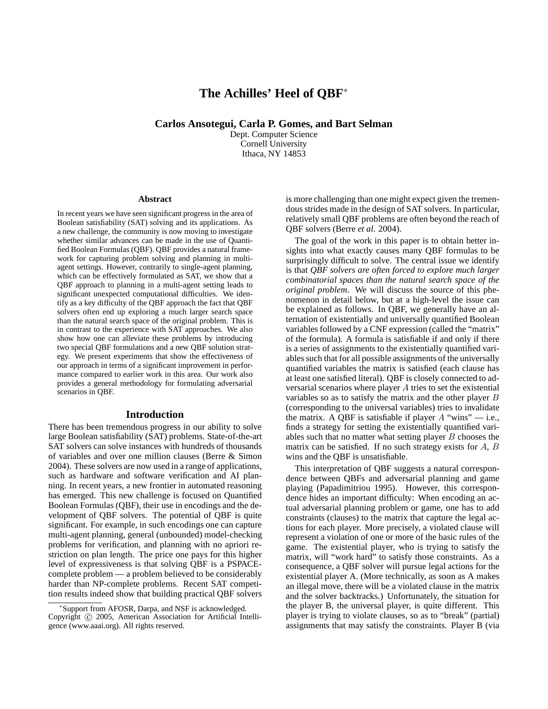# **The Achilles' Heel of QBF**<sup>∗</sup>

**Carlos Ansotegui, Carla P. Gomes, and Bart Selman**

Dept. Computer Science Cornell University Ithaca, NY 14853

#### **Abstract**

In recent years we have seen significant progress in the area of Boolean satisfiability (SAT) solving and its applications. As a new challenge, the community is now moving to investigate whether similar advances can be made in the use of Quantified Boolean Formulas (QBF). QBF provides a natural framework for capturing problem solving and planning in multiagent settings. However, contrarily to single-agent planning, which can be effectively formulated as SAT, we show that a QBF approach to planning in a multi-agent setting leads to significant unexpected computational difficulties. We identify as a key difficulty of the QBF approach the fact that QBF solvers often end up exploring a much larger search space than the natural search space of the original problem. This is in contrast to the experience with SAT approaches. We also show how one can alleviate these problems by introducing two special QBF formulations and a new QBF solution strategy. We present experiments that show the effectiveness of our approach in terms of a significant improvement in performance compared to earlier work in this area. Our work also provides a general methodology for formulating adversarial scenarios in QBF.

#### **Introduction**

There has been tremendous progress in our ability to solve large Boolean satisfiability (SAT) problems. State-of-the-art SAT solvers can solve instances with hundreds of thousands of variables and over one million clauses (Berre & Simon 2004). These solvers are now used in a range of applications, such as hardware and software verification and AI planning. In recent years, a new frontier in automated reasoning has emerged. This new challenge is focused on Quantified Boolean Formulas (QBF), their use in encodings and the development of QBF solvers. The potential of QBF is quite significant. For example, in such encodings one can capture multi-agent planning, general (unbounded) model-checking problems for verification, and planning with no apriori restriction on plan length. The price one pays for this higher level of expressiveness is that solving QBF is a PSPACEcomplete problem — a problem believed to be considerably harder than NP-complete problems. Recent SAT competition results indeed show that building practical QBF solvers is more challenging than one might expect given the tremendous strides made in the design of SAT solvers. In particular, relatively small QBF problems are often beyond the reach of QBF solvers (Berre *et al.* 2004).

The goal of the work in this paper is to obtain better insights into what exactly causes many QBF formulas to be surprisingly difficult to solve. The central issue we identify is that *QBF solvers are often forced to explore much larger combinatorial spaces than the natural search space of the original problem*. We will discuss the source of this phenomenon in detail below, but at a high-level the issue can be explained as follows. In QBF, we generally have an alternation of existentially and universally quantified Boolean variables followed by a CNF expression (called the "matrix" of the formula). A formula is satisfiable if and only if there is a series of assignments to the existentially quantified variables such that for all possible assignments of the universally quantified variables the matrix is satisfied (each clause has at least one satisfied literal). QBF is closely connected to adversarial scenarios where player A tries to set the existential variables so as to satisfy the matrix and the other player  $B$ (corresponding to the universal variables) tries to invalidate the matrix. A QBF is satisfiable if player  $A$  "wins" — i.e., finds a strategy for setting the existentially quantified variables such that no matter what setting player  $B$  chooses the matrix can be satisfied. If no such strategy exists for  $A$ ,  $B$ wins and the QBF is unsatisfiable.

This interpretation of QBF suggests a natural correspondence between QBFs and adversarial planning and game playing (Papadimitriou 1995). However, this correspondence hides an important difficulty: When encoding an actual adversarial planning problem or game, one has to add constraints (clauses) to the matrix that capture the legal actions for each player. More precisely, a violated clause will represent a violation of one or more of the basic rules of the game. The existential player, who is trying to satisfy the matrix, will "work hard" to satisfy those constraints. As a consequence, a QBF solver will pursue legal actions for the existential player A. (More technically, as soon as A makes an illegal move, there will be a violated clause in the matrix and the solver backtracks.) Unfortunately, the situation for the player B, the universal player, is quite different. This player is trying to violate clauses, so as to "break" (partial) assignments that may satisfy the constraints. Player B (via

<sup>∗</sup> Support from AFOSR, Darpa, and NSF is acknowledged. Copyright (c) 2005, American Association for Artificial Intelligence (www.aaai.org). All rights reserved.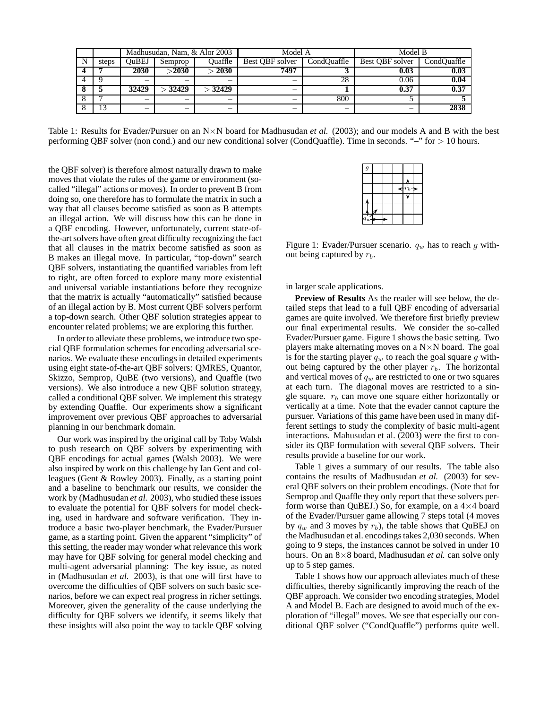|       |       |                    | Madhusudan, Nam, & Alor 2003 | Model A                        |     | Model B           |                   |  |
|-------|-------|--------------------|------------------------------|--------------------------------|-----|-------------------|-------------------|--|
| steps | OuBEJ | Ouaffle<br>Semprop |                              | Best OBF solver<br>CondOuaffle |     | Best OBF solver   | CondOuaffle       |  |
|       | 2030  | $>$ 2030           | > 2030                       | 7497                           |     | 0.03              | 0.03              |  |
|       |       |                    |                              |                                | 28  | 0.06              | 0.04              |  |
|       | 32429 | 32429              | $>$ 32429                    | -                              |     | $\overline{0.37}$ | $\overline{0.37}$ |  |
|       |       |                    |                              |                                | 800 |                   |                   |  |
|       |       |                    |                              |                                |     |                   | 2838              |  |

Table 1: Results for Evader/Pursuer on an  $N \times N$  board for Madhusudan *et al.* (2003); and our models A and B with the best performing QBF solver (non cond.) and our new conditional solver (CondQuaffle). Time in seconds. "–" for > 10 hours.

the QBF solver) is therefore almost naturally drawn to make moves that violate the rules of the game or environment (socalled "illegal" actions or moves). In order to prevent B from doing so, one therefore has to formulate the matrix in such a way that all clauses become satisfied as soon as B attempts an illegal action. We will discuss how this can be done in a QBF encoding. However, unfortunately, current state-ofthe-art solvers have often great difficulty recognizing the fact that all clauses in the matrix become satisfied as soon as B makes an illegal move. In particular, "top-down" search QBF solvers, instantiating the quantified variables from left to right, are often forced to explore many more existential and universal variable instantiations before they recognize that the matrix is actually "automatically" satisfied because of an illegal action by B. Most current QBF solvers perform a top-down search. Other QBF solution strategies appear to encounter related problems; we are exploring this further.

In order to alleviate these problems, we introduce two special QBF formulation schemes for encoding adversarial scenarios. We evaluate these encodings in detailed experiments using eight state-of-the-art QBF solvers: QMRES, Quantor, Skizzo, Semprop, QuBE (two versions), and Quaffle (two versions). We also introduce a new QBF solution strategy, called a conditional QBF solver. We implement this strategy by extending Quaffle. Our experiments show a significant improvement over previous QBF approaches to adversarial planning in our benchmark domain.

Our work was inspired by the original call by Toby Walsh to push research on QBF solvers by experimenting with QBF encodings for actual games (Walsh 2003). We were also inspired by work on this challenge by Ian Gent and colleagues (Gent & Rowley 2003). Finally, as a starting point and a baseline to benchmark our results, we consider the work by (Madhusudan *et al.* 2003), who studied these issues to evaluate the potential for QBF solvers for model checking, used in hardware and software verification. They introduce a basic two-player benchmark, the Evader/Pursuer game, as a starting point. Given the apparent "simplicity" of this setting, the reader may wonder what relevance this work may have for QBF solving for general model checking and multi-agent adversarial planning: The key issue, as noted in (Madhusudan *et al.* 2003), is that one will first have to overcome the difficulties of QBF solvers on such basic scenarios, before we can expect real progress in richer settings. Moreover, given the generality of the cause underlying the difficulty for QBF solvers we identify, it seems likely that these insights will also point the way to tackle QBF solving

| $\overline{g}$ |   |  |   |
|----------------|---|--|---|
|                |   |  |   |
|                |   |  | Ð |
|                |   |  |   |
|                | ⊠ |  |   |
| $\frac{1}{a}$  |   |  |   |

Figure 1: Evader/Pursuer scenario.  $q_w$  has to reach g without being captured by  $r_b$ .

in larger scale applications.

**Preview of Results** As the reader will see below, the detailed steps that lead to a full QBF encoding of adversarial games are quite involved. We therefore first briefly preview our final experimental results. We consider the so-called Evader/Pursuer game. Figure 1 shows the basic setting. Two players make alternating moves on a  $N \times N$  board. The goal is for the starting player  $q_w$  to reach the goal square g without being captured by the other player  $r_b$ . The horizontal and vertical moves of  $q_w$  are restricted to one or two squares at each turn. The diagonal moves are restricted to a single square.  $r_b$  can move one square either horizontally or vertically at a time. Note that the evader cannot capture the pursuer. Variations of this game have been used in many different settings to study the complexity of basic multi-agent interactions. Mahusudan et al. (2003) were the first to consider its QBF formulation with several QBF solvers. Their results provide a baseline for our work.

Table 1 gives a summary of our results. The table also contains the results of Madhusudan *et al.* (2003) for several QBF solvers on their problem encodings. (Note that for Semprop and Quaffle they only report that these solvers perform worse than QuBEJ.) So, for example, on a  $4\times4$  board of the Evader/Pursuer game allowing 7 steps total (4 moves by  $q_w$  and 3 moves by  $r_b$ ), the table shows that QuBEJ on the Madhusudan et al. encodings takes 2,030 seconds. When going to 9 steps, the instances cannot be solved in under 10 hours. On an 8×8 board, Madhusudan *et al.* can solve only up to 5 step games.

Table 1 shows how our approach alleviates much of these difficulties, thereby significantly improving the reach of the QBF approach. We consider two encoding strategies, Model A and Model B. Each are designed to avoid much of the exploration of "illegal" moves. We see that especially our conditional QBF solver ("CondQuaffle") performs quite well.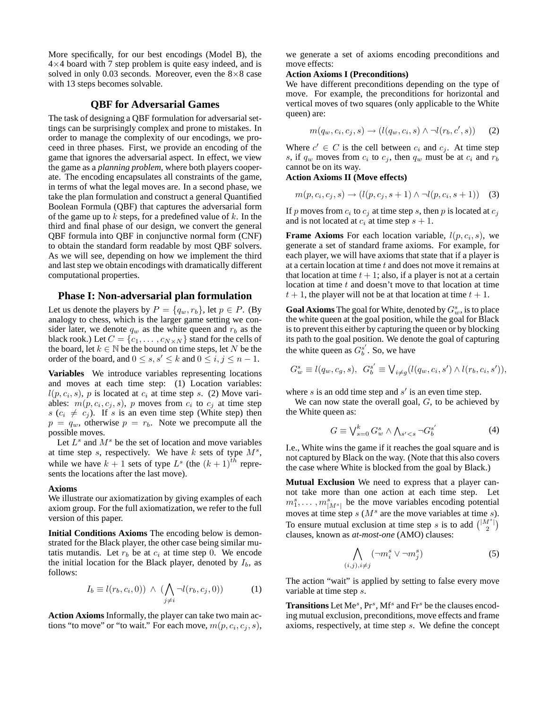More specifically, for our best encodings (Model B), the  $4\times4$  board with 7 step problem is quite easy indeed, and is solved in only 0.03 seconds. Moreover, even the  $8\times 8$  case with 13 steps becomes solvable.

# **QBF for Adversarial Games**

The task of designing a QBF formulation for adversarial settings can be surprisingly complex and prone to mistakes. In order to manage the complexity of our encodings, we proceed in three phases. First, we provide an encoding of the game that ignores the adversarial aspect. In effect, we view the game as a *planning problem*, where both players cooperate. The encoding encapsulates all constraints of the game, in terms of what the legal moves are. In a second phase, we take the plan formulation and construct a general Quantified Boolean Formula (QBF) that captures the adversarial form of the game up to  $k$  steps, for a predefined value of  $k$ . In the third and final phase of our design, we convert the general QBF formula into QBF in conjunctive normal form (CNF) to obtain the standard form readable by most QBF solvers. As we will see, depending on how we implement the third and last step we obtain encodings with dramatically different computational properties.

## **Phase I: Non-adversarial plan formulation**

Let us denote the players by  $P = \{q_w, r_b\}$ , let  $p \in P$ . (By analogy to chess, which is the larger game setting we consider later, we denote  $q_w$  as the white queen and  $r_b$  as the black rook.) Let  $C = \{c_1, \ldots, c_{N \times N}\}\$  stand for the cells of the board, let  $k \in \mathbb{N}$  be the bound on time steps, let N be the order of the board, and  $0 \le s, s' \le k$  and  $0 \le i, j \le n - 1$ .

**Variables** We introduce variables representing locations and moves at each time step: (1) Location variables:  $l(p, c_i, s)$ , p is located at  $c_i$  at time step s. (2) Move variables:  $m(p, c_i, c_j, s)$ , p moves from  $c_i$  to  $c_j$  at time step  $s$  ( $c_i \neq c_j$ ). If s is an even time step (White step) then  $p = q_w$ , otherwise  $p = r_b$ . Note we precompute all the possible moves.

Let  $L^s$  and  $M^s$  be the set of location and move variables at time step  $s$ , respectively. We have  $k$  sets of type  $M^s$ , while we have  $k + 1$  sets of type  $L^s$  (the  $(k + 1)$ <sup>th</sup> represents the locations after the last move).

#### **Axioms**

We illustrate our axiomatization by giving examples of each axiom group. For the full axiomatization, we refer to the full version of this paper.

**Initial Conditions Axioms** The encoding below is demonstrated for the Black player, the other case being similar mutatis mutandis. Let  $r_b$  be at  $c_i$  at time step 0. We encode the initial location for the Black player, denoted by  $I_b$ , as follows:

$$
I_b \equiv l(r_b, c_i, 0)) \land (\bigwedge_{j \neq i} \neg l(r_b, c_j, 0)) \tag{1}
$$

**Action Axioms** Informally, the player can take two main actions "to move" or "to wait." For each move,  $m(p, c_i, c_j, s)$ ,

we generate a set of axioms encoding preconditions and move effects:

## **Action Axioms I (Preconditions)**

We have different preconditions depending on the type of move. For example, the preconditions for horizontal and vertical moves of two squares (only applicable to the White queen) are:

$$
m(q_w, c_i, c_j, s) \rightarrow (l(q_w, c_i, s) \land \neg l(r_b, c', s)) \qquad (2)
$$

Where  $c' \in C$  is the cell between  $c_i$  and  $c_j$ . At time step s, if  $q_w$  moves from  $c_i$  to  $c_j$ , then  $q_w$  must be at  $c_i$  and  $r_b$ cannot be on its way.

#### **Action Axioms II (Move effects)**

$$
m(p, c_i, c_j, s) \to (l(p, c_j, s + 1) \land \neg l(p, c_i, s + 1)) \quad (3)
$$

If p moves from  $c_i$  to  $c_j$  at time step s, then p is located at  $c_j$ and is not located at  $c_i$  at time step  $s + 1$ .

**Frame Axioms** For each location variable,  $l(p, c_i, s)$ , we generate a set of standard frame axioms. For example, for each player, we will have axioms that state that if a player is at a certain location at time  $t$  and does not move it remains at that location at time  $t + 1$ ; also, if a player is not at a certain location at time  $t$  and doesn't move to that location at time  $t + 1$ , the player will not be at that location at time  $t + 1$ .

**Goal Axioms** The goal for White, denoted by  $G_w^s$ , is to place the white queen at the goal position, while the goal for Black is to prevent this either by capturing the queen or by blocking its path to the goal position. We denote the goal of capturing the white queen as  $G_b^{s'}$ . So, we have

$$
G_w^s \equiv l(q_w, c_g, s), \ G_b^{s'} \equiv \bigvee_{i \neq g} (l(q_w, c_i, s') \wedge l(r_b, c_i, s')),
$$

where  $s$  is an odd time step and  $s'$  is an even time step.

We can now state the overall goal,  $G$ , to be achieved by the White queen as:

$$
G \equiv \bigvee_{s=0}^{k} G_w^s \wedge \bigwedge_{s'
$$

I.e., White wins the game if it reaches the goal square and is not captured by Black on the way. (Note that this also covers the case where White is blocked from the goal by Black.)

**Mutual Exclusion** We need to express that a player cannot take more than one action at each time step. Let  $m_1^s, \ldots, m_{|M^s|}^s$  be the move variables encoding potential moves at time step  $s$  ( $M<sup>s</sup>$  are the move variables at time  $s$ ). To ensure mutual exclusion at time step s is to add  $\binom{|M^s|}{2}$ clauses, known as *at-most-one* (AMO) clauses:

$$
\bigwedge_{(i,j), i \neq j} (\neg m_i^s \lor \neg m_j^s) \tag{5}
$$

The action "wait" is applied by setting to false every move variable at time step s.

Transitions Let Me<sup>s</sup>, Pr<sup>s</sup>, Mf<sup>s</sup> and Fr<sup>s</sup> be the clauses encoding mutual exclusion, preconditions, move effects and frame axioms, respectively, at time step s. We define the concept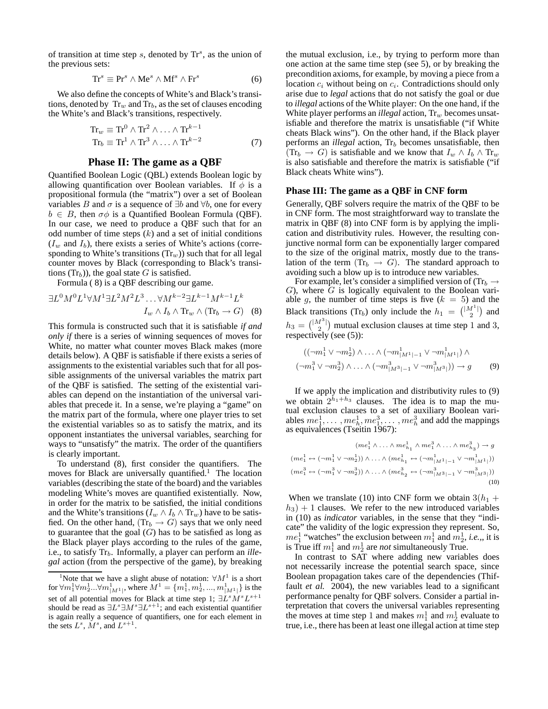of transition at time step  $s$ , denoted by  $\text{Tr}^s$ , as the union of the previous sets:

$$
Tr^{s} \equiv Pr^{s} \wedge Me^{s} \wedge Mf^{s} \wedge Fr^{s}
$$
 (6)

We also define the concepts of White's and Black's transitions, denoted by  $Tr_w$  and  $Tr_b$ , as the set of clauses encoding the White's and Black's transitions, respectively.

$$
\mathrm{Tr}_{w} \equiv \mathrm{Tr}^{0} \wedge \mathrm{Tr}^{2} \wedge \ldots \wedge \mathrm{Tr}^{k-1}
$$

$$
\mathrm{Tr}_{b} \equiv \mathrm{Tr}^{1} \wedge \mathrm{Tr}^{3} \wedge \ldots \wedge \mathrm{Tr}^{k-2}
$$
(7)

## **Phase II: The game as a QBF**

Quantified Boolean Logic (QBL) extends Boolean logic by allowing quantification over Boolean variables. If  $\phi$  is a propositional formula (the "matrix") over a set of Boolean variables B and  $\sigma$  is a sequence of  $\exists b$  and  $\forall b$ , one for every  $b \in B$ , then  $\sigma \phi$  is a Quantified Boolean Formula (QBF). In our case, we need to produce a QBF such that for an odd number of time steps  $(k)$  and a set of initial conditions  $(I_w$  and  $I_b)$ , there exists a series of White's actions (corresponding to White's transitions  $(Tr_w)$ ) such that for all legal counter moves by Black (corresponding to Black's transitions  $(Tr<sub>b</sub>)$ , the goal state G is satisfied.

Formula ( 8) is a QBF describing our game.

$$
\exists L^{0} M^{0} L^{1} \forall M^{1} \exists L^{2} M^{2} L^{3} \dots \forall M^{k-2} \exists L^{k-1} M^{k-1} L^{k}
$$

$$
I_{w} \wedge I_{b} \wedge \text{Tr}_{w} \wedge (\text{Tr}_{b} \rightarrow G) \quad (8)
$$

This formula is constructed such that it is satisfiable *if and only if* there is a series of winning sequences of moves for White, no matter what counter moves Black makes (more details below). A QBF is satisfiable if there exists a series of assignments to the existential variables such that for all possible assignments of the universal variables the matrix part of the QBF is satisfied. The setting of the existential variables can depend on the instantiation of the universal variables that precede it. In a sense, we're playing a "game" on the matrix part of the formula, where one player tries to set the existential variables so as to satisfy the matrix, and its opponent instantiates the universal variables, searching for ways to "unsatisfy" the matrix. The order of the quantifiers is clearly important.

To understand (8), first consider the quantifiers. The moves for Black are universally quantified.<sup>1</sup> The location variables (describing the state of the board) and the variables modeling White's moves are quantified existentially. Now, in order for the matrix to be satisfied, the initial conditions and the White's transitions ( $I_w \wedge I_b \wedge \text{Tr}_w$ ) have to be satisfied. On the other hand,  $(Tr_b \rightarrow G)$  says that we only need to guarantee that the goal  $(G)$  has to be satisfied as long as the Black player plays according to the rules of the game, i.e., to satisfy  $Tr_b$ . Informally, a player can perform an *illegal* action (from the perspective of the game), by breaking the mutual exclusion, i.e., by trying to perform more than one action at the same time step (see 5), or by breaking the precondition axioms, for example, by moving a piece from a location  $c_i$  without being on  $c_i$ . Contradictions should only arise due to *legal* actions that do not satisfy the goal or due to *illegal* actions of the White player: On the one hand, if the White player performs an *illegal* action,  $Tr_w$  becomes unsatisfiable and therefore the matrix is unsatisfiable ("if White cheats Black wins"). On the other hand, if the Black player performs an *illegal* action, Tr<sub>b</sub> becomes unsatisfiable, then  $(Tr_b \rightarrow G)$  is satisfiable and we know that  $I_w \wedge I_b \wedge Tr_w$ is also satisfiable and therefore the matrix is satisfiable ("if Black cheats White wins").

## **Phase III: The game as a QBF in CNF form**

Generally, QBF solvers require the matrix of the QBF to be in CNF form. The most straightforward way to translate the matrix in QBF (8) into CNF form is by applying the implication and distributivity rules. However, the resulting conjunctive normal form can be exponentially larger compared to the size of the original matrix, mostly due to the translation of the term  $(Tr_b \rightarrow G)$ . The standard approach to avoiding such a blow up is to introduce new variables.

For example, let's consider a simplified version of (Tr<sub>b</sub>  $\rightarrow$  $G$ ), where  $\overline{G}$  is logically equivalent to the Boolean variable g, the number of time steps is five  $(k = 5)$  and the Black transitions (Tr<sub>b</sub>) only include the  $h_1 = \binom{|M^1|}{2}$  and  $h_3 = \binom{|M^3|}{2}$  mutual exclusion clauses at time step 1 and 3, respectively (see (5)):

$$
((\neg m_1^1 \lor \neg m_2^1) \land \dots \land (\neg m_{|M^1|-1}^1 \lor \neg m_{|M^1|}^1) \land (\neg m_1^3 \lor \neg m_2^3) \land \dots \land (\neg m_{|M^3|-1}^3 \lor \neg m_{|M^3|}^3)) \to g
$$
 (9)

If we apply the implication and distributivity rules to (9) we obtain  $2^{h_1+h_3}$  clauses. The idea is to map the mutual exclusion clauses to a set of auxiliary Boolean variables  $me_1^1, \ldots, me_h^1, me_1^3, \ldots, me_h^3$  and add the mappings as equivalences (Tseitin 1967):

$$
(me_1^1 \wedge \ldots \wedge me_{h_1}^1 \wedge me_1^3 \wedge \ldots \wedge me_{h_3}^3) \rightarrow g
$$

$$
(me_1^1 \leftrightarrow (\neg m_1^1 \vee \neg m_2^1)) \wedge \ldots \wedge (me_{h_1}^1 \leftrightarrow (\neg m_{|M^1|-1}^1 \vee \neg m_{|M^1|}^1))
$$

$$
(me_1^3 \leftrightarrow (\neg m_1^3 \vee \neg m_2^3)) \wedge \ldots \wedge (me_{h_2}^3 \leftrightarrow (\neg m_{|M^3|-1}^3 \vee \neg m_{|M^3|}^3))
$$

$$
(10)
$$

When we translate (10) into CNF form we obtain  $3(h_1 +$  $h_3$ ) + 1 clauses. We refer to the new introduced variables in (10) as *indicator* variables, in the sense that they "indicate" the validity of the logic expression they represent. So,  $me_1^1$  "watches" the exclusion between  $m_1^1$  and  $m_2^1$ , *i.e.*,, it is is True iff  $m_1^1$  and  $m_2^1$  are *not* simultaneously True.

In contrast to SAT where adding new variables does not necessarily increase the potential search space, since Boolean propagation takes care of the dependencies (Thiffault *et al.* 2004), the new variables lead to a significant performance penalty for QBF solvers. Consider a partial interpretation that covers the universal variables representing the moves at time step 1 and makes  $m_1^1$  and  $m_2^1$  evaluate to true, i.e., there has been at least one illegal action at time step

<sup>&</sup>lt;sup>1</sup>Note that we have a slight abuse of notation:  $\forall M^1$  is a short for  $\forall m_1^1 \forall m_2^1 ... \forall m_{|M^1|}^1$ , where  $M^1 = \{m_1^1, m_2^1, ..., m_{|M^1|}^1\}$  is the set of all potential moves for Black at time step 1;  $\exists L^sM^sL^{s+1}$ should be read as  $\exists L^{s} \exists M^{s} \exists L^{s+1}$ ; and each existential quantifier is again really a sequence of quantifiers, one for each element in the sets  $L^s$ ,  $M^s$ , and  $L^{s+1}$ .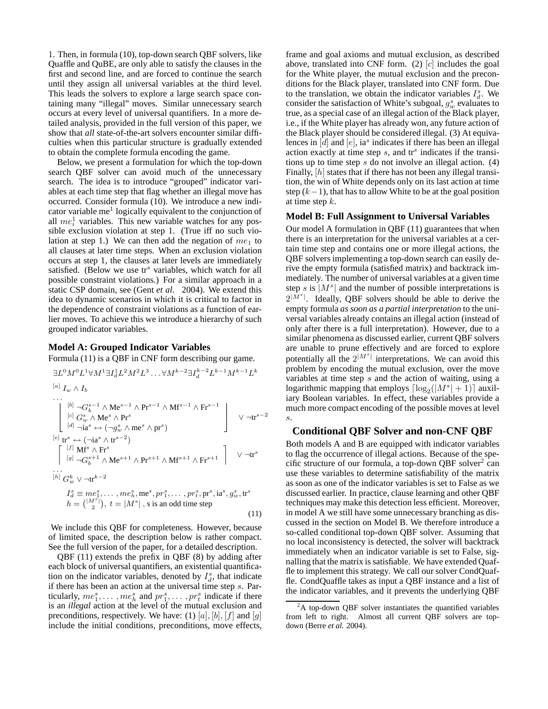1. Then, in formula (10), top-down search QBF solvers, like Quaffle and QuBE, are only able to satisfy the clauses in the first and second line, and are forced to continue the search until they assign all universal variables at the third level. This leads the solvers to explore a large search space containing many "illegal" moves. Similar unnecessary search occurs at every level of universal quantifiers. In a more detailed analysis, provided in the full version of this paper, we show that *all* state-of-the-art solvers encounter similar difficulties when this particular structure is gradually extended to obtain the complete formula encoding the game.

Below, we present a formulation for which the top-down search QBF solver can avoid much of the unnecessary search. The idea is to introduce "grouped" indicator variables at each time step that flag whether an illegal move has occurred. Consider formula (10). We introduce a new indicator variable me<sup>1</sup> logically equivalent to the conjunction of all  $me_i^1$  variables. This new variable watches for any possible exclusion violation at step 1. (True iff no such violation at step 1.) We can then add the negation of  $me<sub>1</sub>$  to all clauses at later time steps. When an exclusion violation occurs at step 1, the clauses at later levels are immediately satisfied. (Below we use  $\text{tr}^s$  variables, which watch for all possible constraint violations.) For a similar approach in a static CSP domain, see (Gent *et al.* 2004). We extend this idea to dynamic scenarios in which it is critical to factor in the dependence of constraint violations as a function of earlier moves. To achieve this we introduce a hierarchy of such grouped indicator variables.

#### **Model A: Grouped Indicator Variables**

Formula (11) is a QBF in CNF form describing our game.

$$
\exists L^{0} M^{0} L^{1} \forall M^{1} \exists I_{d}^{1} L^{2} M^{2} L^{3} \dots \forall M^{k-2} \exists I_{d}^{k-2} L^{k-1} M^{k-1} L^{k}
$$
\n
$$
\begin{bmatrix}\n\text{[}i] \ I_{w} \land I_{b} \\
\text{[}i] \ \text{[}j \ \neg G_{b}^{s-1} \land \text{Me}^{s-1} \land \text{Pr}^{s-1} \land \text{Mr}^{s-1} \land \text{Fr}^{s-1}\n\end{bmatrix}\n\quad \vee \neg \text{tr}^{s-2}\n\begin{bmatrix}\n\text{[}i] \ \text{C}_{d}^{s} \land \text{Me}^{s} \land \text{Pr}^{s} \\
\text{[}i] \ \text{[}i] \ \text{C}_{d}^{s} \leftrightarrow (\neg g_{w}^{s} \land \text{me}^{s} \land \text{pr}^{s})\n\end{bmatrix}\n\quad \vee \neg \text{tr}^{s-2}\n\begin{bmatrix}\n\text{[}j] \ \text{If}^{s} \leftrightarrow (\neg \text{ia}^{s} \land \text{tr}^{s-2}) \\
\text{[}j] \ \text{If}^{s} \land \text{Fr}^{s}\n\end{bmatrix}\n\begin{bmatrix}\n\text{[}j] \ \text{M}^{s} \land \text{Fr}^{s}\n\end{bmatrix}\n\quad \vee \neg \text{tr}^{s}\n\begin{bmatrix}\n\text{[}j] \ \text{M}^{s} \land \text{Fr}^{s}\n\end{bmatrix}
$$
\n
$$
\dots
$$
\n
$$
\therefore \quad \text{[}i \text{]} \ G_{w}^{k} \lor \neg \text{tr}^{k-2}\n\begin{bmatrix}\n\text{[}i] \ \text{[}j \ \text{C}_{w}^{k} \lor \neg \text{tr}^{k-2}\n\end{bmatrix}
$$
\n
$$
\text{[}i \text{]} \ G_{w}^{k} \lor \neg \text{tr}^{k-2}\n\end{bmatrix}
$$
\n
$$
\begin{bmatrix}\n\text{[}i] \ \text{[}j \ \text{[}j \ \text{[}j] \ \text{[}j \ \text{[}j \ \text{[}j] \ \text{[}j \ \text{[}j \ \
$$

We include this QBF for completeness. However, because of limited space, the description below is rather compact. See the full version of the paper, for a detailed description.

QBF (11) extends the prefix in QBF (8) by adding after each block of universal quantifiers, an existential quantification on the indicator variables, denoted by  $I_d^s$ , that indicate if there has been an action at the universal time step s. Particularly,  $me_1^s, \ldots, me_h^s$  and  $pr_1^s, \ldots, pr_t^s$  indicate if there is an *illegal* action at the level of the mutual exclusion and preconditions, respectively. We have: (1) [a], [b], [f] and [g] include the initial conditions, preconditions, move effects,

frame and goal axioms and mutual exclusion, as described above, translated into CNF form. (2)  $[c]$  includes the goal for the White player, the mutual exclusion and the preconditions for the Black player, translated into CNF form. Due to the translation, we obtain the indicator variables  $I_d^s$ . We consider the satisfaction of White's subgoal,  $g_w^s$  evaluates to true, as a special case of an illegal action of the Black player, i.e., if the White player has already won, any future action of the Black player should be considered illegal. (3) At equivalences in  $[d]$  and  $[e]$ , ia<sup>s</sup> indicates if there has been an illegal action exactly at time step  $s$ , and  $tr<sup>s</sup>$  indicates if the transitions up to time step  $s$  do not involve an illegal action. (4) Finally, [h] states that if there has not been any illegal transition, the win of White depends only on its last action at time step  $(k-1)$ , that has to allow White to be at the goal position at time step  $k$ .

#### **Model B: Full Assignment to Universal Variables**

Our model A formulation in QBF (11) guarantees that when there is an interpretation for the universal variables at a certain time step and contains one or more illegal actions, the QBF solvers implementing a top-down search can easily derive the empty formula (satisfied matrix) and backtrack immediately. The number of universal variables at a given time step s is  $|M^s|$  and the number of possible interpretations is  $2^{|M^s|}$ . Ideally, QBF solvers should be able to derive the empty formula *as soon as a partial interpretation* to the universal variables already contains an illegal action (instead of only after there is a full interpretation). However, due to a similar phenomena as discussed earlier, current QBF solvers are unable to prune effectively and are forced to explore potentially all the  $2^{|M^s|}$  interpretations. We can avoid this problem by encoding the mutual exclusion, over the move variables at time step  $s$  and the action of waiting, using a logarithmic mapping that employs  $\lceil \log_2(|M^s|+1)\rceil$  auxiliary Boolean variables. In effect, these variables provide a much more compact encoding of the possible moves at level s.

## **Conditional QBF Solver and non-CNF QBF**

Both models A and B are equipped with indicator variables to flag the occurrence of illegal actions. Because of the specific structure of our formula, a top-down QBF solver<sup>2</sup> can use these variables to determine satisfiability of the matrix as soon as one of the indicator variables is set to False as we discussed earlier. In practice, clause learning and other QBF techniques may make this detection less efficient. Moreover, in model A we still have some unnecessary branching as discussed in the section on Model B. We therefore introduce a so-called conditional top-down QBF solver. Assuming that no local inconsistency is detected, the solver will backtrack immediately when an indicator variable is set to False, signalling that the matrix is satisfiable. We have extended Quaffle to implement this strategy. We call our solver CondQuaffle. CondQuaffle takes as input a QBF instance and a list of the indicator variables, and it prevents the underlying QBF

 ${}^{2}$ A top-down QBF solver instantiates the quantified variables from left to right. Almost all current QBF solvers are topdown (Berre *et al.* 2004).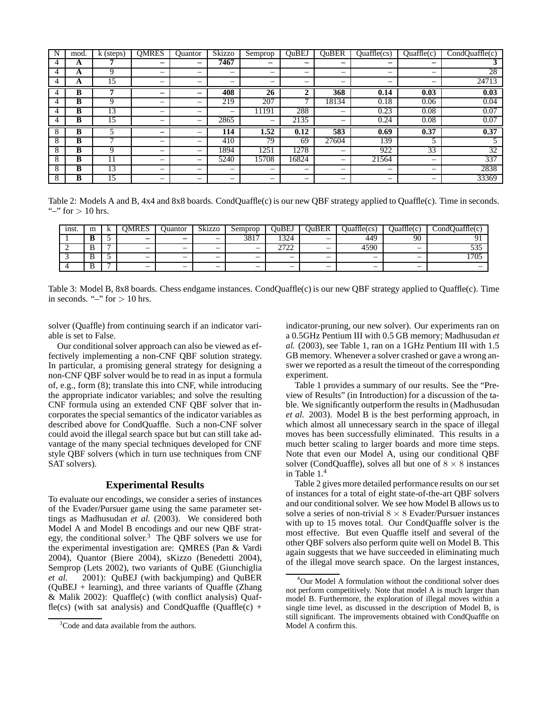| N             | mod. | k (steps)       | <b>OMRES</b>             | Ouantor | Skizzo                   | Semprop                  | OuBEJ                                                                     | <b>OuBER</b>             | $Quaffle$ (cs)           | Quaffle(c)               | CondQuaffle(c)  |
|---------------|------|-----------------|--------------------------|---------|--------------------------|--------------------------|---------------------------------------------------------------------------|--------------------------|--------------------------|--------------------------|-----------------|
| 4             | A    |                 |                          | -       | 7467                     | -                        | -                                                                         | -                        | -                        | $\overline{\phantom{0}}$ | Ĵ               |
|               | A    | 9               | $\overline{\phantom{0}}$ | -       | —                        | $\overline{\phantom{0}}$ | -                                                                         |                          | $\overline{\phantom{0}}$ | $\overline{\phantom{0}}$ | 28              |
| 4             | A    | 15              | -                        |         | —                        | $\overline{\phantom{0}}$ | -                                                                         | -                        | $\overline{\phantom{0}}$ | $\overline{\phantom{0}}$ | 24713           |
| 4             | B    |                 |                          |         | 408                      | $2\overline{6}$          | $\overline{\mathbf{2}}$                                                   | 368                      | 0.14                     | 0.03                     | 0.03            |
|               | B    | Q               | -                        | -       | 219                      | 207                      | -                                                                         | 18134                    | 0.18                     | 0.06                     | 0.04            |
|               | в    | 13              | $\overline{\phantom{0}}$ | -       | —                        | 11191                    | 288                                                                       |                          | 0.23                     | 0.08                     | 0.07            |
| 4             | B    | 15              | $\overline{\phantom{0}}$ | —       | 2865                     | $\overline{\phantom{0}}$ | 2135                                                                      | $\overline{\phantom{a}}$ | 0.24                     | 0.08                     | 0.07            |
| 8             | B    |                 | -                        | –       | 114                      | 1.52                     | 0.12                                                                      | 583                      | 0.69                     | 0.37                     | 0.37            |
| ◠             | B    |                 | -                        | -       | 410                      | 79                       | 69                                                                        | 27604                    | 139                      |                          |                 |
| 8             | B    | Q               | -                        | -       | 1894                     | 1251                     | 1278                                                                      |                          | 922                      | 33                       | $3\overline{2}$ |
| δ             | В    | 11              | -                        | -       | 5240                     | 15708                    | 16824                                                                     | $\overline{\phantom{a}}$ | 21564                    |                          | 337             |
| 8             | B    | $1\overline{3}$ |                          | -       | $\overline{\phantom{m}}$ | $\overline{\phantom{0}}$ | $\overline{\phantom{0}}$                                                  | $\overline{\phantom{0}}$ | $\overline{\phantom{m}}$ | $\overline{\phantom{0}}$ | 2838            |
| $\Omega$<br>ŏ | в    | 15              | -                        | -       | $\overline{\phantom{m}}$ | $\overline{\phantom{0}}$ | $\hspace{1.0cm} \rule{1.5cm}{0.15cm} \hspace{1.0cm} \rule{1.5cm}{0.15cm}$ | $\overline{\phantom{0}}$ | $\overline{\phantom{m}}$ | $\overline{\phantom{0}}$ | 33369           |

Table 2: Models A and B, 4x4 and 8x8 boards. CondQuaffle(c) is our new QBF strategy applied to Quaffle(c). Time in seconds. "-" for  $> 10$  hrs.

| inst. | m        |   | DMRES                    | Juantor                  | Skizzo                   | Semprop                  | <b>JuBEJ</b>             | )uBER                    | <b>Duaffle(cs)</b>       | <b>Duaffle(c)</b>        | <b>Duaffle(c)</b><br>$\sim$<br>$\mathcal{L}$ ond $\mathcal{C}$ |
|-------|----------|---|--------------------------|--------------------------|--------------------------|--------------------------|--------------------------|--------------------------|--------------------------|--------------------------|----------------------------------------------------------------|
|       | u        | - | -                        | $\overline{\phantom{0}}$ | $\overline{\phantom{0}}$ | 3817                     | 1324                     | $\overline{\phantom{0}}$ | 449                      | 90                       | $^{\sim}$                                                      |
| -     | <b>U</b> |   |                          | $\overline{\phantom{0}}$ |                          | $\overline{\phantom{0}}$ | 2722<br>ىم<br>∼          | $\overline{\phantom{0}}$ | 4590                     | $\overline{\phantom{0}}$ | - ^ '<br>JJJ                                                   |
|       | ◡        | - | $\overline{\phantom{0}}$ | $\overline{\phantom{0}}$ | $\overline{\phantom{0}}$ | $\overline{\phantom{0}}$ | $\overline{\phantom{m}}$ | $\overline{\phantom{0}}$ | $\overline{\phantom{0}}$ | $\overline{\phantom{0}}$ | 1705                                                           |
|       | $\cdot$  |   | $\overline{\phantom{m}}$ | $\overline{\phantom{0}}$ | $\overline{\phantom{0}}$ | $\overline{\phantom{m}}$ | $\overline{\phantom{m}}$ | $\overline{\phantom{0}}$ | $\overline{\phantom{0}}$ | $\overline{\phantom{m}}$ |                                                                |

Table 3: Model B, 8x8 boards. Chess endgame instances. CondQuaffle(c) is our new QBF strategy applied to Quaffle(c). Time in seconds. " $-$ " for  $> 10$  hrs.

solver (Quaffle) from continuing search if an indicator variable is set to False.

Our conditional solver approach can also be viewed as effectively implementing a non-CNF QBF solution strategy. In particular, a promising general strategy for designing a non-CNF QBF solver would be to read in as input a formula of, e.g., form (8); translate this into CNF, while introducing the appropriate indicator variables; and solve the resulting CNF formula using an extended CNF QBF solver that incorporates the special semantics of the indicator variables as described above for CondQuaffle. Such a non-CNF solver could avoid the illegal search space but but can still take advantage of the many special techniques developed for CNF style QBF solvers (which in turn use techniques from CNF SAT solvers).

## **Experimental Results**

To evaluate our encodings, we consider a series of instances of the Evader/Pursuer game using the same parameter settings as Madhusudan *et al.* (2003). We considered both Model A and Model B encodings and our new QBF strategy, the conditional solver.<sup>3</sup> The QBF solvers we use for the experimental investigation are: QMRES (Pan & Vardi 2004), Quantor (Biere 2004), sKizzo (Benedetti 2004), Semprop (Lets 2002), two variants of QuBE (Giunchiglia *et al.* 2001): QuBEJ (with backjumping) and QuBER (QuBEJ + learning), and three variants of Quaffle (Zhang & Malik 2002): Quaffle(c) (with conflict analysis) Quaffle(cs) (with sat analysis) and CondQuaffle (Quaffle(c) +

indicator-pruning, our new solver). Our experiments ran on a 0.5GHz Pentium III with 0.5 GB memory; Madhusudan *et al.* (2003), see Table 1, ran on a 1GHz Pentium III with 1.5 GB memory. Whenever a solver crashed or gave a wrong answer we reported as a result the timeout of the corresponding experiment.

Table 1 provides a summary of our results. See the "Preview of Results" (in Introduction) for a discussion of the table. We significantly outperform the results in (Madhusudan *et al.* 2003). Model B is the best performing approach, in which almost all unnecessary search in the space of illegal moves has been successfully eliminated. This results in a much better scaling to larger boards and more time steps. Note that even our Model A, using our conditional QBF solver (CondQuaffle), solves all but one of  $8 \times 8$  instances in Table 1.<sup>4</sup>

Table 2 gives more detailed performance results on our set of instances for a total of eight state-of-the-art QBF solvers and our conditional solver. We see how Model B allows us to solve a series of non-trivial  $8 \times 8$  Evader/Pursuer instances with up to 15 moves total. Our CondQuaffle solver is the most effective. But even Quaffle itself and several of the other QBF solvers also perform quite well on Model B. This again suggests that we have succeeded in eliminating much of the illegal move search space. On the largest instances,

<sup>&</sup>lt;sup>3</sup>Code and data available from the authors.

<sup>4</sup>Our Model A formulation without the conditional solver does not perform competitively. Note that model A is much larger than model B. Furthermore, the exploration of illegal moves within a single time level, as discussed in the description of Model B, is still significant. The improvements obtained with CondQuaffle on Model A confirm this.